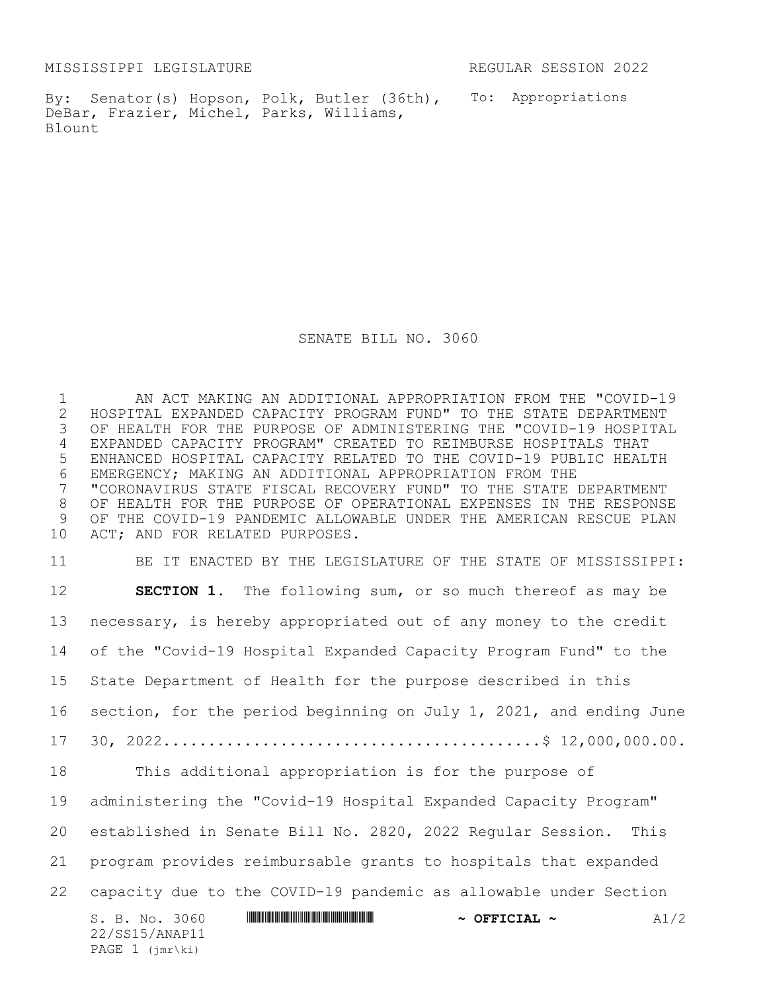MISSISSIPPI LEGISLATURE REGULAR SESSION 2022

By: Senator(s) Hopson, Polk, Butler (36th), To: Appropriations DeBar, Frazier, Michel, Parks, Williams, Blount

SENATE BILL NO. 3060

 AN ACT MAKING AN ADDITIONAL APPROPRIATION FROM THE "COVID-19 HOSPITAL EXPANDED CAPACITY PROGRAM FUND" TO THE STATE DEPARTMENT OF HEALTH FOR THE PURPOSE OF ADMINISTERING THE "COVID-19 HOSPITAL EXPANDED CAPACITY PROGRAM" CREATED TO REIMBURSE HOSPITALS THAT ENHANCED HOSPITAL CAPACITY RELATED TO THE COVID-19 PUBLIC HEALTH 6 EMERGENCY; MAKING AN ADDITIONAL APPROPRIATION FROM THE<br>7 "CORONAVIRUS STATE FISCAL RECOVERY FUND" TO THE STATE I "CORONAVIRUS STATE FISCAL RECOVERY FUND" TO THE STATE DEPARTMENT OF HEALTH FOR THE PURPOSE OF OPERATIONAL EXPENSES IN THE RESPONSE OF THE COVID-19 PANDEMIC ALLOWABLE UNDER THE AMERICAN RESCUE PLAN ACT; AND FOR RELATED PURPOSES.

S. B. No. 3060 **\*\*\* Analytic Analytic Analytic Analytic Analytic Analytic Analytic Analytic Analytic Analytic Analytic Analytic Analytic Analytic Analytic Analytic Analytic Analytic Analytic Analytic Analytic Analytic Anal** 22/SS15/ANAP11 PAGE 1 (jmr\ki) BE IT ENACTED BY THE LEGISLATURE OF THE STATE OF MISSISSIPPI: **SECTION 1.** The following sum, or so much thereof as may be necessary, is hereby appropriated out of any money to the credit of the "Covid-19 Hospital Expanded Capacity Program Fund" to the State Department of Health for the purpose described in this section, for the period beginning on July 1, 2021, and ending June 30, 2022..........................................\$ 12,000,000.00. This additional appropriation is for the purpose of administering the "Covid-19 Hospital Expanded Capacity Program" established in Senate Bill No. 2820, 2022 Regular Session. This program provides reimbursable grants to hospitals that expanded capacity due to the COVID-19 pandemic as allowable under Section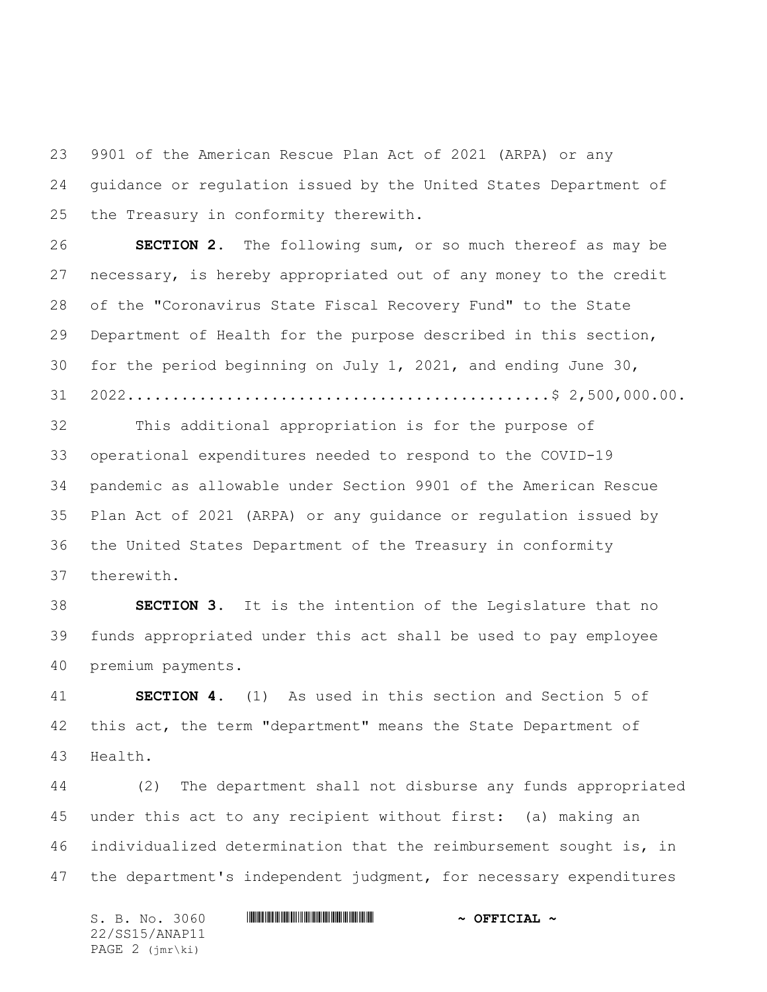9901 of the American Rescue Plan Act of 2021 (ARPA) or any guidance or regulation issued by the United States Department of the Treasury in conformity therewith.

 **SECTION 2.** The following sum, or so much thereof as may be necessary, is hereby appropriated out of any money to the credit of the "Coronavirus State Fiscal Recovery Fund" to the State Department of Health for the purpose described in this section, for the period beginning on July 1, 2021, and ending June 30, 2022...............................................\$ 2,500,000.00.

 This additional appropriation is for the purpose of operational expenditures needed to respond to the COVID-19 pandemic as allowable under Section 9901 of the American Rescue Plan Act of 2021 (ARPA) or any guidance or regulation issued by the United States Department of the Treasury in conformity therewith.

 **SECTION 3.** It is the intention of the Legislature that no funds appropriated under this act shall be used to pay employee premium payments.

 **SECTION 4.** (1) As used in this section and Section 5 of this act, the term "department" means the State Department of Health.

 (2) The department shall not disburse any funds appropriated under this act to any recipient without first: (a) making an individualized determination that the reimbursement sought is, in the department's independent judgment, for necessary expenditures

S. B. No. 3060 \*SS15/ANAP11\* **~ OFFICIAL ~** 22/SS15/ANAP11 PAGE 2 (jmr\ki)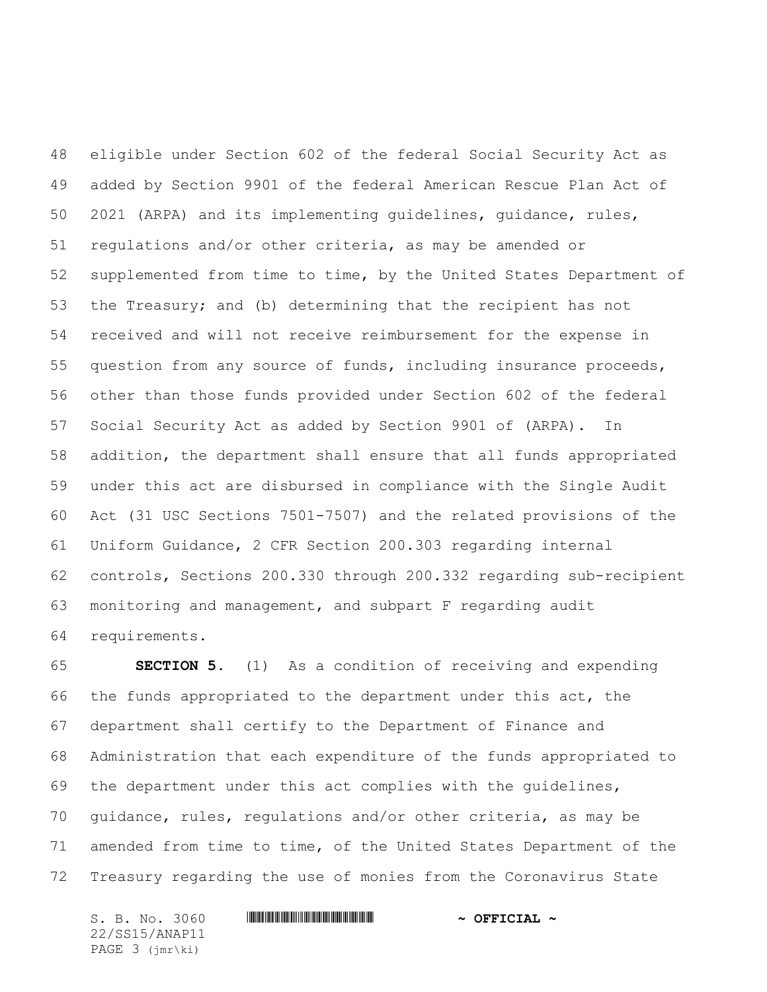eligible under Section 602 of the federal Social Security Act as added by Section 9901 of the federal American Rescue Plan Act of 2021 (ARPA) and its implementing guidelines, guidance, rules, regulations and/or other criteria, as may be amended or supplemented from time to time, by the United States Department of the Treasury; and (b) determining that the recipient has not received and will not receive reimbursement for the expense in question from any source of funds, including insurance proceeds, other than those funds provided under Section 602 of the federal Social Security Act as added by Section 9901 of (ARPA). In addition, the department shall ensure that all funds appropriated under this act are disbursed in compliance with the Single Audit Act (31 USC Sections 7501-7507) and the related provisions of the Uniform Guidance, 2 CFR Section 200.303 regarding internal controls, Sections 200.330 through 200.332 regarding sub-recipient monitoring and management, and subpart F regarding audit requirements.

 **SECTION 5.** (1) As a condition of receiving and expending the funds appropriated to the department under this act, the department shall certify to the Department of Finance and Administration that each expenditure of the funds appropriated to the department under this act complies with the guidelines, guidance, rules, regulations and/or other criteria, as may be amended from time to time, of the United States Department of the Treasury regarding the use of monies from the Coronavirus State

S. B. No. 3060 \*SS15/ANAP11\* **~ OFFICIAL ~** 22/SS15/ANAP11 PAGE 3 (jmr\ki)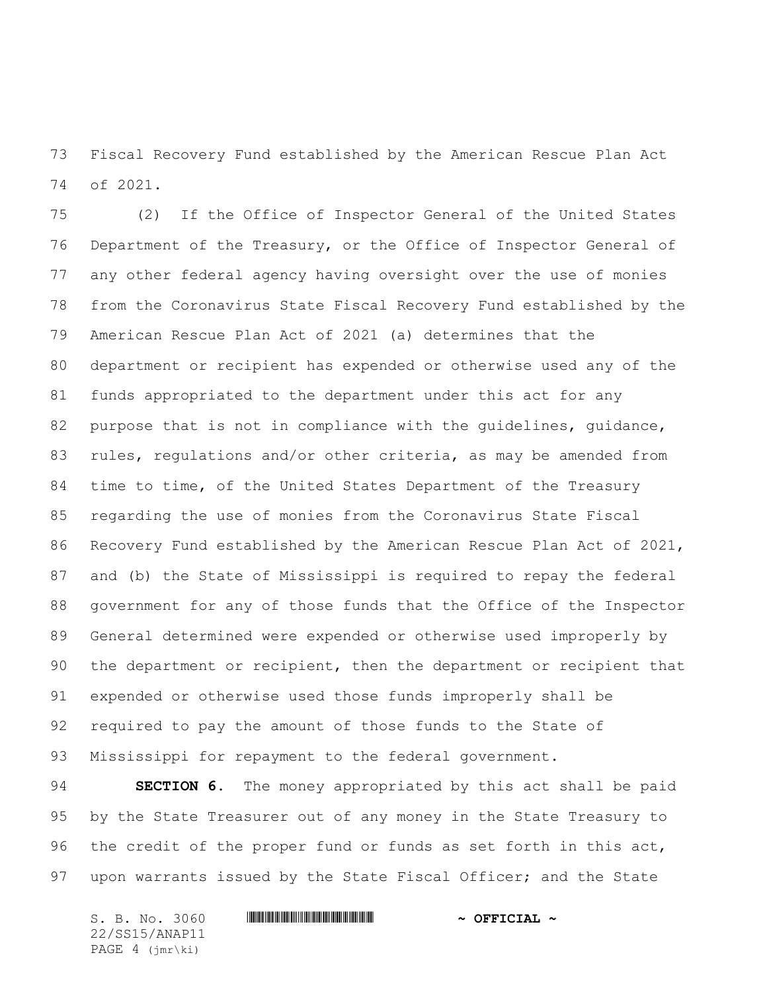Fiscal Recovery Fund established by the American Rescue Plan Act of 2021.

 (2) If the Office of Inspector General of the United States Department of the Treasury, or the Office of Inspector General of any other federal agency having oversight over the use of monies from the Coronavirus State Fiscal Recovery Fund established by the American Rescue Plan Act of 2021 (a) determines that the department or recipient has expended or otherwise used any of the funds appropriated to the department under this act for any purpose that is not in compliance with the guidelines, guidance, rules, regulations and/or other criteria, as may be amended from time to time, of the United States Department of the Treasury regarding the use of monies from the Coronavirus State Fiscal Recovery Fund established by the American Rescue Plan Act of 2021, and (b) the State of Mississippi is required to repay the federal government for any of those funds that the Office of the Inspector General determined were expended or otherwise used improperly by the department or recipient, then the department or recipient that expended or otherwise used those funds improperly shall be required to pay the amount of those funds to the State of Mississippi for repayment to the federal government.

 **SECTION 6.** The money appropriated by this act shall be paid by the State Treasurer out of any money in the State Treasury to the credit of the proper fund or funds as set forth in this act, upon warrants issued by the State Fiscal Officer; and the State

S. B. No. 3060 \*SS15/ANAP11\* **~ OFFICIAL ~** 22/SS15/ANAP11 PAGE 4 (jmr\ki)